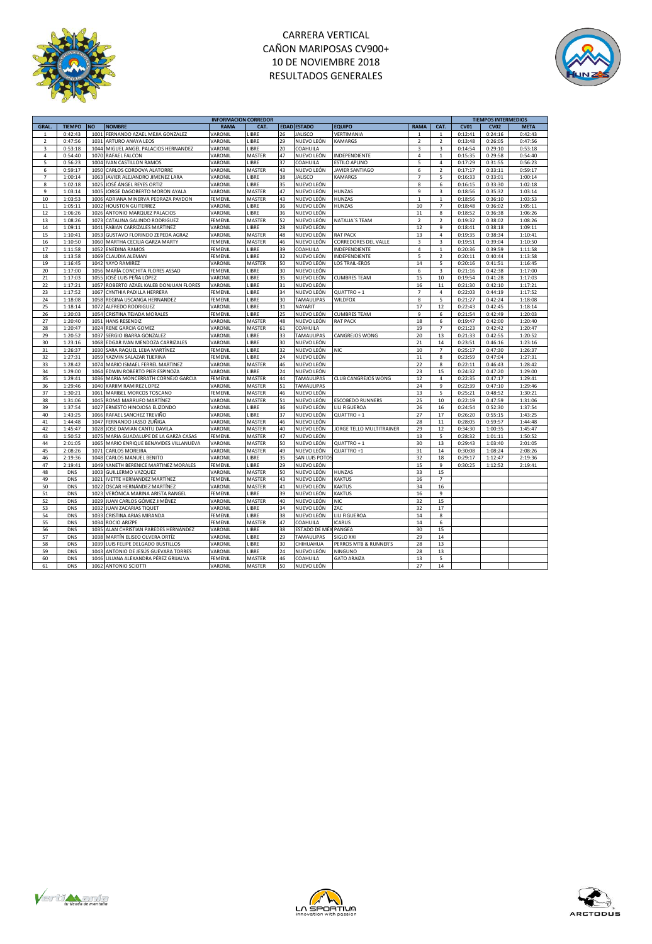

# CARRERA VERTICAL CAÑON MARIPOSAS CV900+ 10 DE NOVIEMBRE 2018 RESULTADOS GENERALES



|                |               |                                            | <b>INFORMACION CORREDOR</b> |        |    |                      |                          |                |                         | <b>TIEMPOS INTERMEDIOS</b> |             |             |  |
|----------------|---------------|--------------------------------------------|-----------------------------|--------|----|----------------------|--------------------------|----------------|-------------------------|----------------------------|-------------|-------------|--|
| <b>GRAL</b>    | <b>TIEMPO</b> | <b>NO</b><br><b>NOMBRE</b>                 | <b>RAMA</b>                 | CAT.   |    | <b>EDAD ESTADO</b>   | <b>EQUIPO</b>            | <b>RAMA</b>    | CAT.                    | <b>CV01</b>                | <b>CV02</b> | <b>META</b> |  |
| $\mathbf{1}$   | 0:42:43       | 1001<br>FERNANDO AZAEL MEJIA GONZALEZ      | VARONIL                     | LIBRE  | 26 | <b>JALISCO</b>       | VERTIMANIA               | $\mathbf{1}$   | $\mathbf{1}$            | 0:12:41                    | 0:24:16     | 0:42:43     |  |
| $\mathbf 2$    | 0:47:56       | 1031<br>ARTURO ANAYA LEOS                  | VARONIL                     | LIBRE  | 29 | NUEVO LEÓN           | <b>KAMARGS</b>           | $\mathbf 2$    | $\overline{2}$          | 0:13:48                    | 0:26:05     | 0:47:56     |  |
| 3              | 0:53:18       | 1044 MIGUEL ANGEL PALACIOS HERNANDEZ       | VARONIL                     | LIBRE  | 20 | COAHUILA             |                          | 3              | 3                       | 0:14:54                    | 0:29:10     | 0:53:18     |  |
|                |               |                                            |                             |        |    |                      |                          |                |                         |                            |             |             |  |
| $\overline{4}$ | 0:54:40       | 1070 RAFAEL FALCON                         | VARONIL                     | MASTER | 47 | NUEVO LEÓN           | INDEPENDIENTE            | 4              | $\mathbf{1}$            | 0:15:35                    | 0:29:58     | 0:54:40     |  |
| 5              | 0:56:23       | 1004 IVAN CASTILLON RAMOS                  | VARONIL                     | LIBRE  | 37 | COAHUILA             | <b>ESTILO APLINO</b>     | 5              | $\sqrt{4}$              | 0:17:29                    | 0:31:55     | 0:56:23     |  |
| 6              | 0:59:17       | 1050 CARLOS CORDOVA ALATORRE               | VARONIL                     | MASTER | 43 | NUEVO LEÓN           | <b>JAVIER SANTIAGO</b>   | 6              | $\overline{2}$          | 0:17:17                    | 0:33:11     | 0:59:17     |  |
| $\overline{7}$ | 1:00:14       | 1063<br>JAVIER ALEJANDRO JIMENEZ LARA      | VARONIL                     | LIBRE  | 38 | <b>JALISCO</b>       | <b>KAMARGS</b>           | $\overline{7}$ | 5                       | 0:16:33                    | 0:33:01     | 1:00:14     |  |
| 8              | 1:02:18       | 1025 JOSÉ ÁNGEL REYES ORTIZ                | VARONIL                     | LIBRE  | 35 | NUEVO LEÓN           |                          | 8              | 6                       | 0:16:15                    | 0:33:30     | 1:02:18     |  |
| 9              | 1:03:14       | 1005<br>JORGE DAGOBERTO MORON AYALA        | VARONIL                     | MASTER | 47 | NUEVO LEÓN           | <b>HUNZAS</b>            | 9              | 3                       | 0:18:56                    | 0:35:32     | 1:03:14     |  |
| 10             | 1:03:53       | ADRIANA MINERVA PEDRAZA PAYDON<br>1006     | FEMENIL                     | MASTER | 43 | NUEVO LEÓN           | HUNZAS                   | $\,$ 1 $\,$    | $\mathbf{1}$            | 0:18:56                    | 0:36:10     | 1:03:53     |  |
| 11             | 1:05:11       | 1002 HOUSTON GUITERREZ                     | VARONIL                     | LIBRE  | 36 | NUEVO LEÓN           | HUNZAS                   | 10             | $\overline{7}$          | 0:18:48                    | 0:36:02     | 1:05:11     |  |
|                |               |                                            |                             |        |    |                      |                          |                |                         |                            |             |             |  |
| 12             | 1:06:26       | ANTONIO MARQUEZ PALACIOS<br>1026           | VARONIL                     | LIBRE  | 36 | NUEVO LEÓN           |                          | 11             | 8                       | 0:18:52                    | 0:36:38     | 1:06:26     |  |
| 13             | 1:08:26       | 1073<br>CATALINA GALINDO RODRIGUEZ         | <b>FEMENIL</b>              | MASTER | 52 | NUEVO LEÓN           | NATALIA'S TEAM           | $\overline{2}$ | $\overline{2}$          | 0:19:32                    | 0:38:02     | 1:08:26     |  |
| 14             | 1:09:11       | <b>FABIAN CARRIZALES MARTINEZ</b><br>1041  | VARONIL                     | LIBRE  | 28 | NUEVO LEÓN           |                          | 12             | $\overline{9}$          | 0:18:41                    | 0:38:18     | 1:09:11     |  |
| 15             | 1:10:41       | GUSTAVO FLORINDO ZEPEDA AGRAZ<br>1053      | VARONIL                     | MASTER | 48 | NUEVO LEÓN           | <b>RAT PACK</b>          | 13             | $\overline{4}$          | 0:19:35                    | 0:38:34     | 1:10:41     |  |
| 16             | 1:10:50       | 1060 MARTHA CECILIA GARZA MARTY            | <b>FEMENIL</b>              | MASTER | 46 | NUEVO LEÓN           | CORREDORES DEL VALLE     | 3              | 3                       | 0:19:51                    | 0:39:04     | 1:10:50     |  |
| 17             | 1:11:58       | 1052 ENEDINA RAMOS                         | FEMENIL                     | LIBRE  | 39 | COAHUILA             | INDEPENDIENTE            | $\overline{4}$ | $\mathbf{1}$            | 0:20:36                    | 0:39:59     | 1:11:58     |  |
| 18             | 1:13:58       | 1069 CLAUDIA ALEMAN                        | FEMENIL                     | LIBRE  | 32 | NUEVO LEÓN           | INDEPENDIENTE            | 5              | $\overline{2}$          | 0:20:11                    | 0:40:44     | 1:13:58     |  |
| 19             | 1:16:45       | YAYO RAMIREZ<br>1042                       | VARONIL                     | MASTER | 50 | NUEVO LEÓN           | <b>LOS TRAIL-EROS</b>    | 14             | 5                       | 0:20:16                    | 0:41:51     | 1:16:45     |  |
| 20             |               | 1056                                       |                             | LIBRE  | 30 |                      |                          |                | $\overline{\mathbf{3}}$ |                            |             |             |  |
|                | 1:17:00       | MARÍA CONCHITA FLORES ASSAD                | FEMENIL                     |        |    | NUEVO LEÓN           |                          | 6              |                         | 0:21:16                    | 0:42:38     | 1:17:00     |  |
| 21             | 1:17:03       | 1055<br>JOSÉ LUIS PEÑA LÓPEZ               | VARONIL                     | LIBRE  | 35 | NUEVO LEÓN           | <b>CUMBRES TEAM</b>      | 15             | 10                      | 0:19:54                    | 0:41:28     | 1:17:03     |  |
| 22             | 1:17:21       | ROBERTO AZAEL KALEB DONJUAN FLORES<br>1057 | VARONIL                     | LIBRE  | 31 | NUEVO LEÓN           |                          | 16             | 11                      | 0:21:30                    | 0:42:10     | 1:17:21     |  |
| 23             | 1:17:52       | CYNTHIA PADILLA HERRERA<br>1067            | FEMENIL                     | LIBRE  | 34 | NUEVO LEÓN           | QUATTRO + 1              | $\overline{7}$ | $\overline{4}$          | 0:22:03                    | 0:44:19     | 1:17:52     |  |
| 24             | 1:18:08       | REGINA USCANGA HERNANDEZ<br>1058           | FEMENIL                     | LIBRE  | 30 | <b>TAMAULIPAS</b>    | WILDFOX                  | 8              | 5                       | 0:21:27                    | 0:42:24     | 1:18:08     |  |
| 25             | 1:18:14       | 1072<br>ALFREDO RODRIGUEZ                  | VARONIL                     | LIBRE  | 31 | NAYARIT              |                          | 17             | 12                      | 0:22:43                    | 0:42:45     | 1:18:14     |  |
| 26             | 1:20:03       | CRISTINA TEJADA MORALES<br>1054            | FEMENIL                     | LIBRE  | 25 | NUEVO LEÓN           | <b>CUMBRES TEAM</b>      | 9              | 6                       | 0:21:54                    | 0:42:49     | 1:20:03     |  |
| 27             | 1:20:40       | 1051 HANS RESENDIZ                         | VARONIL                     | MASTER | 48 | NUEVO LEÓN           | <b>RAT PACK</b>          | 18             | 6                       | 0:19:47                    | 0:42:00     | 1:20:40     |  |
|                |               |                                            |                             |        |    |                      |                          |                |                         |                            |             |             |  |
| 28             | 1:20:47       | 1024 RENE GARCIA GOMEZ                     | VARONIL                     | MASTER | 61 | COAHUILA             |                          | 19             | $\overline{7}$          | 0:21:23                    | 0:42:42     | 1:20:47     |  |
| 29             | 1:20:52       | 1037<br>SERGIO IBARRA GONZALEZ             | VARONIL                     | LIBRE  | 33 | <b>TAMAULIPAS</b>    | CANGREJOS WONG           | 20             | 13                      | 0:21:33                    | 0:42:55     | 1:20:52     |  |
| 30             | 1:23:16       | 1068<br>EDGAR IVAN MENDOZA CARRIZALES      | VARONIL                     | LIBRE  | 30 | NUEVO LEÓN           |                          | 21             | 14                      | 0:23:51                    | 0:46:16     | 1:23:16     |  |
| 31             | 1:26:37       | SARA RAQUEL LEIJA MARTÍNEZ<br>1030         | FEMENIL                     | LIBRE  | 32 | NUEVO LEÓN           | <b>NIC</b>               | 10             | $\overline{7}$          | 0:25:17                    | 0:47:30     | 1:26:37     |  |
| 32             | 1:27:31       | 1059 YAZMIN SALAZAR TIJERINA               | FEMENIL                     | LIBRE  | 24 | NUEVO LEÓN           |                          | $11\,$         | 8                       | 0:23:59                    | 0:47:04     | 1:27:31     |  |
| 33             | 1:28:42       | 1074<br>MARIO ISMAEL FERREL MARTINEZ       | VARONIL                     | MASTER | 46 | NUEVO LEÓN           |                          | 22             | 8                       | 0:22:11                    | 0:46:43     | 1:28:42     |  |
| 34             | 1:29:00       | 1064<br>EDWIN ROBERTO PIER ESPINOZA        | VARONIL                     | LIBRE  | 24 | NUEVO LEÓN           |                          | 23             | 15                      | 0:24:32                    | 0:47:20     | 1:29:00     |  |
| 35             | 1:29:41       | 1036<br>MARIA MONCERRATH CORNEJO GARCIA    | FEMENIL                     | MASTER | 44 | TAMAULIPAS           | CLUB CANGREJOS WONG      | 12             | $\sqrt{4}$              | 0:22:35                    | 0:47:17     | 1:29:41     |  |
| 36             | 1:29:46       | 1040 KARIIM RAMIREZ LOPEZ                  | VARONIL                     | MASTER | 51 | TAMAULIPAS           |                          | 24             | $\overline{9}$          | 0:22:39                    | 0:47:10     | 1:29:46     |  |
|                |               |                                            |                             |        |    |                      |                          |                |                         |                            |             |             |  |
| 37             | 1:30:21       | 1061<br>MARIBEL MORCOS TOSCANO             | FEMENIL                     | MASTER | 46 | NUEVO LEÓN           |                          | 13             | 5                       | 0:25:21                    | 0:48:52     | 1:30:21     |  |
| 38             | 1:31:06       | 1045<br>ROMÁ MARRUFO MARTÍNEZ              | VARONIL                     | MASTER | 51 | NUEVO LEÓN           | <b>ESCOBEDO RUNNERS</b>  | 25             | 10                      | 0:22:19                    | 0:47:59     | 1:31:06     |  |
| 39             | 1:37:54       | 1027<br>ERNESTO HINOJOSA ELIZONDO          | VARONIL                     | LIBRE  | 36 | NUEVO LEÓN           | LILI FIGUEROA            | 26             | 16                      | 0:24:54                    | 0:52:30     | 1:37:54     |  |
| 40             | 1:43:25       | 1066 RAFAEL SANCHEZ TREVIÑO                | VARONIL                     | LIBRE  | 37 | NUEVO LEÓN           | QUATTRO + 1              | 27             | 17                      | 0:26:20                    | 0:55:15     | 1:43:25     |  |
| 41             | 1:44:48       | 1047<br>FERNANDO JASSO ZUÑIGA              | VARONIL                     | MASTER | 46 | NUEVO LEÓN           |                          | 28             | 11                      | 0:28:05                    | 0:59:57     | 1:44:48     |  |
| 42             | 1:45:47       | 1028<br>JOSE DAMIAN CANTU DAVILA           | VARONIL                     | MASTER | 40 | NUEVO LEÓN           | JORGE TELLO MULTITRAINER | 29             | 12                      | 0:34:30                    | 1:00:35     | 1:45:47     |  |
| 43             | 1:50:52       | 1075<br>MARIA GUADALUPE DE LA GARZA CASAS  | FEMENIL                     | MASTER | 47 | NUEVO LEÓN           |                          | 13             | 5                       | 0:28:32                    | 1:01:11     | 1:50:52     |  |
| 44             | 2:01:05       | 1065 MARIO ENRIQUE BENAVIDES VILLANUEVA    | VARONIL                     | MASTER | 50 | NUEVO LEÓN           | QUATTRO + 1              | 30             | 13                      | 0:29:43                    | 1:03:40     | 2:01:05     |  |
| 45             | 2:08:26       | 1071<br><b>CARLOS MOREIRA</b>              | VARONIL                     | MASTER | 49 | NUEVO LEÓN           | QUATTRO +1               | 31             | 14                      | 0:30:08                    | 1:08:24     | 2:08:26     |  |
|                |               | 1048<br><b>CARLOS MANUEL BENITO</b>        | VARONIL                     | LIBRE  | 35 |                      |                          | 32             |                         |                            |             |             |  |
| 46             | 2:19:36       |                                            |                             |        |    | SAN LUIS POTOS       |                          |                | 18                      | 0:29:17                    | 1:12:47     | 2:19:36     |  |
| 47             | 2:19:41       | 1049<br>YANETH BERENICE MARTINEZ MORALES   | FEMENIL                     | LIBRE  | 29 | NUEVO LEÓN           |                          | 15             | 9                       | 0:30:25                    | 1:12:52     | 2:19:41     |  |
| 48             | DNS           | 1003<br><b>GUILLERMO VAZQUEZ</b>           | VARONIL                     | MASTER | 50 | NUEVO LEÓN           | <b>HUNZAS</b>            | 33             | 15                      |                            |             |             |  |
| 49             | <b>DNS</b>    | 1021<br><b>IVETTE HERNANDEZ MARTÍNEZ</b>   | FEMENIL                     | MASTER | 43 | NUEVO LEÓN           | <b>KAKTUS</b>            | 16             | $\overline{7}$          |                            |             |             |  |
| 50             | DNS           | 1022<br>OSCAR HERNÁNDEZ MARTÍNEZ           | VARONIL                     | MASTER | 41 | NUEVO LEÓN           | <b>KAKTUS</b>            | 34             | 16                      |                            |             |             |  |
| 51             | <b>DNS</b>    | 1023<br>VERÓNICA MARINA ARISTA RANGEL      | <b>FEMENIL</b>              | LIBRE  | 39 | NUEVO LEÓN           | <b>KAKTUS</b>            | 16             | 9                       |                            |             |             |  |
| 52             | <b>DNS</b>    | 1029<br>JUAN CARLOS GÓMEZ JIMÉNEZ          | VARONIL                     | MASTER | 40 | NUEVO LEÓN           | <b>NIC</b>               | 32             | 15                      |                            |             |             |  |
| 53             | DNS           | <b>JUAN ZACARIAS TIQUET</b><br>1032        | VARONIL                     | LIBRE  | 34 | NUEVO LEÓN           | ZAC                      | 32             | 17                      |                            |             |             |  |
|                | <b>DNS</b>    | 1033                                       | <b>FEMENIL</b>              | LIBRE  |    | NUEVO LEÓN           |                          |                | 8                       |                            |             |             |  |
| 54             |               | CRISTINA ARIAS MIRANDA                     |                             |        | 38 |                      | LILI FIGUEROA            | 14             |                         |                            |             |             |  |
| 55             | DNS           | 1034<br><b>ROCIO ARIZPE</b>                | FEMENIL                     | MASTER | 47 | COAHUILA             | <b>ICARUS</b>            | 14             | 6                       |                            |             |             |  |
| 56             | DNS           | ALAN CHRISTIAN PAREDES HERNÁNDEZ<br>1035   | VARONIL                     | LIBRE  | 38 | ESTADO DE MÉX PANGEA |                          | 30             | 15                      |                            |             |             |  |
| 57             | <b>DNS</b>    | 1038 MARTÍN ELISEO OLVERA ORTÍZ            | VARONIL                     | LIBRE  | 29 | TAMAULIPAS           | SIGLO XXI                | 29             | 14                      |                            |             |             |  |
| 58             | <b>DNS</b>    | 1039 LUIS FELIPE DELGADO BUSTILLOS         | VARONIL                     | LIBRE  | 30 | CHIHUAHUA            | PERROS MTB & RUNNER'S    | 28             | 13                      |                            |             |             |  |
| 59             | DNS           | ANTONIO DE JESÚS GUEVARA TORRES<br>1043    | VARONIL                     | LIBRE  | 24 | NUEVO LEÓN           | NINGUNO                  | 28             | 13                      |                            |             |             |  |
| 60             | DNS           | 1046 LILIANA ALEXANDRA PÉREZ GRIJALVA      | FEMENIL                     | MASTER | 46 | COAHUILA             | <b>GATO ARAIZA</b>       | 13             | 5                       |                            |             |             |  |
| 61             | <b>DNS</b>    | 1062 ANTONIO SCIOTTI                       | VARONIL                     | MASTER | 50 | NUEVO LEÓN           |                          | 27             | 14                      |                            |             |             |  |
|                |               |                                            |                             |        |    |                      |                          |                |                         |                            |             |             |  |





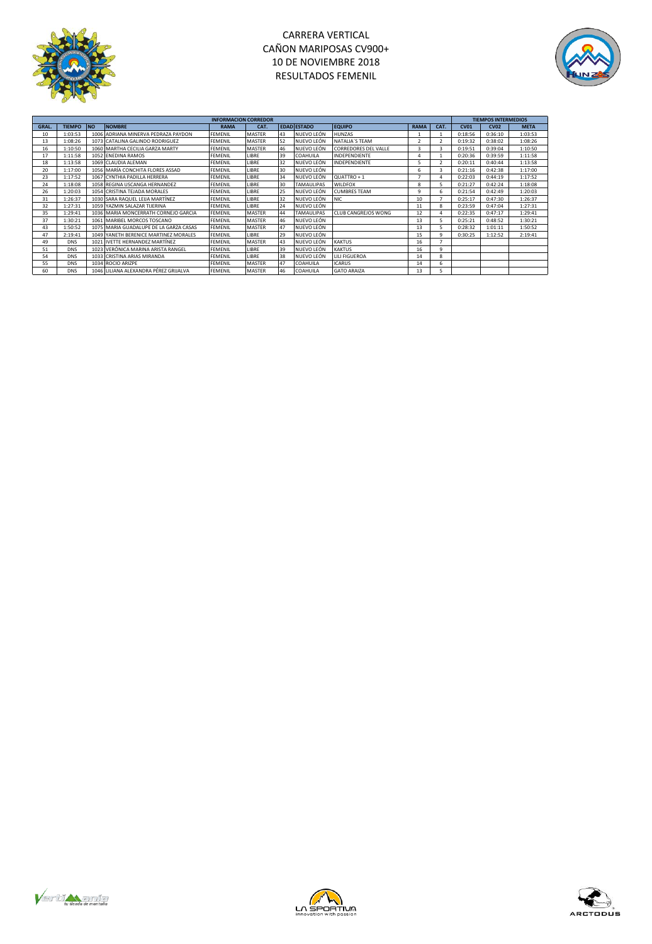

# CARRERA VERTICAL CAÑON MARIPOSAS CV900+ 10 DE NOVIEMBRE 2018 RESULTADOS FEMENIL



|       |               |           |                                        | <b>INFORMACION CORREDOR</b> |               |    |                    |                      |                |      | <b>TIEMPOS INTERMEDIOS</b> |             |             |  |
|-------|---------------|-----------|----------------------------------------|-----------------------------|---------------|----|--------------------|----------------------|----------------|------|----------------------------|-------------|-------------|--|
| GRAL. | <b>TIEMPO</b> | <b>NO</b> | <b>NOMBRE</b>                          | <b>RAMA</b>                 | CAT.          |    | <b>EDAD ESTADO</b> | <b>EQUIPO</b>        | <b>RAMA</b>    | CAT. | CVO1                       | <b>CV02</b> | <b>META</b> |  |
| 10    | 1:03:53       |           | 1006 ADRIANA MINERVA PEDRAZA PAYDON    | FEMENIL                     | <b>MASTER</b> | 43 | NUEVO LEÓN         | <b>HUNZAS</b>        |                |      | 0:18:56                    | 0:36:10     | 1:03:53     |  |
| 13    | 1:08:26       |           | 1073 CATALINA GALINDO RODRIGUEZ        | <b>FEMENIL</b>              | <b>MASTER</b> | 52 | NUEVO LEÓN         | NATALIA'S TEAM       |                |      | 0:19:32                    | 0:38:02     | 1:08:26     |  |
| 16    | 1:10:50       |           | 1060 MARTHA CECILIA GARZA MARTY        | <b>FEMENIL</b>              | MASTER        | 46 | NUEVO LEÓN         | CORREDORES DEL VALLE | $\overline{3}$ |      | 0:19:51                    | 0:39:04     | 1:10:50     |  |
| 17    | 1:11:58       |           | 1052 ENEDINA RAMOS                     | <b>FEMENIL</b>              | <b>IIBRF</b>  | 39 | COAHUILA           | INDEPENDIENTE        |                |      | 0:20:36                    | 0:39:59     | 1:11:58     |  |
| 18    | 1:13:58       |           | 1069 CLAUDIA ALEMAN                    | <b>FEMENIL</b>              | LIBRE         | 32 | NUEVO LEÓN         | INDEPENDIENTE        |                |      | 0:20:11                    | 0:40:44     | 1:13:58     |  |
| 20    | 1:17:00       |           | 1056 MARÍA CONCHITA FLORES ASSAD       | <b>FEMENIL</b>              | LIBRE         | 30 | NUEVO LEÓN         |                      | 6              |      | 0:21:16                    | 0:42:38     | 1:17:00     |  |
| 23    | 1:17:52       |           | 1067 CYNTHIA PADILLA HERRERA           | <b>FEMENIL</b>              | LIBRE         | 34 | NUEVO LEÓN         | QUATTRO + 1          |                |      | 0:22:03                    | 0:44:19     | 1:17:52     |  |
| 24    | 1:18:08       |           | 1058 REGINA USCANGA HERNANDEZ          | <b>FEMENIL</b>              | <b>LIBRE</b>  | 30 | <b>TAMAULIPAS</b>  | <b>WILDFOX</b>       | 8              |      | 0:21:27                    | 0:42:24     | 1:18:08     |  |
| 26    | 1:20:03       |           | 1054 CRISTINA TEJADA MORALES           | <b>FEMENIL</b>              | LIBRE         | 25 | NUEVO LEÓN         | <b>CUMBRES TEAM</b>  | 9              | 6    | 0:21:54                    | 0:42:49     | 1:20:03     |  |
| 31    | 1:26:37       |           | 1030 SARA RAQUEL LEIJA MARTÍNEZ        | <b>FEMENIL</b>              | LIBRE         | 32 | NUEVO LEÓN         | NIC.                 | 10             |      | 0:25:17                    | 0:47:30     | 1:26:37     |  |
| 32    | 1:27:31       |           | 1059 YAZMIN SALAZAR TIJERINA           | <b>FEMENIL</b>              | LIBRE         | 24 | NUEVO LEÓN         |                      | 11             | 8    | 0:23:59                    | 0:47:04     | 1:27:31     |  |
| 35    | 1:29:41       |           | 1036 MARIA MONCERRATH CORNEJO GARCIA   | <b>FEMENIL</b>              | <b>MASTER</b> | 44 | <b>TAMAULIPAS</b>  | CLUB CANGREJOS WONG  | 12             |      | 0:22:35                    | 0:47:17     | 1:29:41     |  |
| 37    | 1:30:21       |           | 1061 MARIBEL MORCOS TOSCANO            | <b>FEMENIL</b>              | MASTER        | 46 | NUEVO LEÓN         |                      | 13             |      | 0:25:21                    | 0:48:52     | 1:30:21     |  |
| 43    | 1:50:52       |           | 1075 MARIA GUADALUPE DE LA GARZA CASAS | <b>FEMENIL</b>              | <b>MASTER</b> | 47 | NUEVO LEÓN         |                      | 13             |      | 0:28:32                    | 1:01:11     | 1:50:52     |  |
| 47    | 2:19:41       |           | 1049 YANETH BERENICE MARTINEZ MORALES  | FEMENIL                     | LIBRE         | 29 | NUEVO LEÓN         |                      | 15             | ۹    | 0:30:25                    | 1:12:52     | 2:19:41     |  |
| 49    | <b>DNS</b>    |           | 1021 IVETTE HERNANDEZ MARTÍNEZ         | <b>FEMENIL</b>              | <b>MASTER</b> | 43 | NUEVO LEÓN         | <b>KAKTUS</b>        | 16             |      |                            |             |             |  |
| 51    | <b>DNS</b>    |           | 1023 VERÓNICA MARINA ARISTA RANGEL     | <b>FEMENIL</b>              | LIBRE         | 39 | NUEVO LEÓN         | <b>KAKTUS</b>        | 16             | ۹    |                            |             |             |  |
| 54    | <b>DNS</b>    |           | 1033 CRISTINA ARIAS MIRANDA            | <b>FEMENIL</b>              | LIBRE         | 38 | NUEVO LEÓN         | LILI FIGUEROA        | 14             | 8    |                            |             |             |  |
| 55    | <b>DNS</b>    |           | 1034 ROCIO ARIZPE                      | FEMENIL                     | <b>MASTER</b> | 47 | COAHUILA           | <b>ICARUS</b>        | 14             | 6.   |                            |             |             |  |
| 60    | <b>DNS</b>    |           | 1046 LILIANA ALEXANDRA PÉREZ GRIJALVA  | FEMENIL                     | <b>MASTER</b> | 46 | <b>COAHUILA</b>    | <b>GATO ARAIZA</b>   | 13             |      |                            |             |             |  |





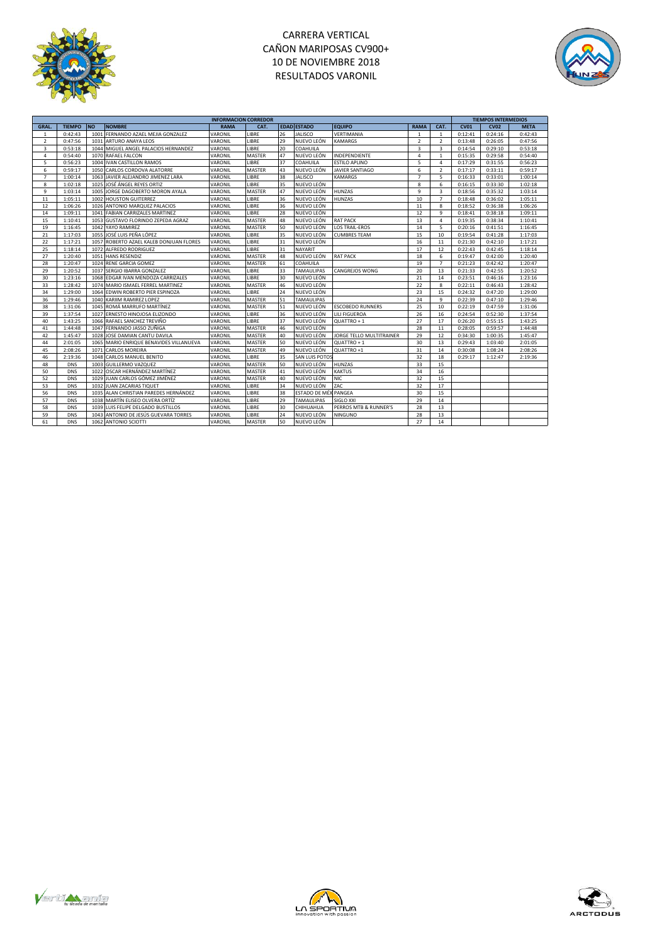

# CARRERA VERTICAL CAÑON MARIPOSAS CV900+ 10 DE NOVIEMBRE 2018 RESULTADOS VARONIL



|                |               |           | <b>INFORMACION CORREDOR</b>             |             |               |    |                      |                          |                |                | <b>TIEMPOS INTERMEDIOS</b> |             |             |
|----------------|---------------|-----------|-----------------------------------------|-------------|---------------|----|----------------------|--------------------------|----------------|----------------|----------------------------|-------------|-------------|
| <b>GRAL</b>    | <b>TIEMPO</b> | <b>NO</b> | <b>NOMBRE</b>                           | <b>RAMA</b> | CAT.          |    | <b>EDAD ESTADO</b>   | <b>EQUIPO</b>            | <b>RAMA</b>    | CAT.           | <b>CV01</b>                | <b>CV02</b> | <b>META</b> |
| $\mathbf{1}$   | 0:42:43       | 1001      | FERNANDO AZAEL MEJIA GONZALEZ           | VARONIL     | LIBRE         | 26 | <b>JALISCO</b>       | VERTIMANIA               | $\mathbf{1}$   | $\mathbf{1}$   | 0:12:41                    | 0:24:16     | 0:42:43     |
| $\overline{2}$ | 0:47:56       |           | 1031 ARTURO ANAYA LEOS                  | VARONIL     | LIBRE         | 29 | NUEVO LEÓN           | <b>KAMARGS</b>           | $\overline{2}$ | $\overline{2}$ | 0:13:48                    | 0:26:05     | 0:47:56     |
| 3              | 0:53:18       |           | 1044 MIGUEL ANGEL PALACIOS HERNANDEZ    | VARONIL     | LIBRE         | 20 | COAHUILA             |                          | 3              | 3              | 0:14:54                    | 0:29:10     | 0:53:18     |
| $\overline{a}$ | 0:54:40       |           | 1070 RAFAEL FALCON                      | VARONIL     | <b>MASTER</b> | 47 | NUEVO LEÓN           | <b>INDEPENDIENTE</b>     | $\overline{4}$ | $\mathbf{1}$   | 0:15:35                    | 0:29:58     | 0:54:40     |
| 5              | 0:56:23       |           | 1004 IVAN CASTILLON RAMOS               | VARONIL     | LIBRE         | 37 | COAHUILA             | ESTILO APLINO            | 5              | $\overline{a}$ | 0:17:29                    | 0:31:55     | 0:56:23     |
| 6              | 0:59:17       |           | 1050 CARLOS CORDOVA ALATORRE            | VARONIL     | <b>MASTER</b> | 43 | NUEVO LEÓN           | <b>JAVIER SANTIAGO</b>   | 6              | $\overline{2}$ | 0:17:17                    | 0:33:11     | 0:59:17     |
| $\overline{7}$ | 1:00:14       |           | 1063 JAVIER ALEJANDRO JIMENEZ LARA      | VARONIL     | LIBRE         | 38 | <b>JALISCO</b>       | KAMARGS                  | $\overline{7}$ | 5              | 0:16:33                    | 0:33:01     | 1:00:14     |
| 8              | 1:02:18       |           | 1025 JJOSÉ ÁNGEL REYES ORTIZ            | VARONIL     | LIBRE         | 35 | NUEVO LEÓN           |                          | 8              | 6              | 0:16:15                    | 0:33:30     | 1:02:18     |
| 9              | 1:03:14       |           | 1005 JORGE DAGOBERTO MORON AYALA        | VARONIL     | <b>MASTER</b> | 47 | NUEVO LEÓN           | <b>HUNZAS</b>            | 9              | 3              | 0:18:56                    | 0:35:32     | 1:03:14     |
| 11             | 1:05:11       |           | 1002 HOUSTON GUITERREZ                  | VARONIL     | LIBRE         | 36 | NUEVO LEÓN           | <b>HUNZAS</b>            | 10             | $\overline{7}$ | 0:18:48                    | 0:36:02     | 1:05:11     |
| 12             | 1:06:26       |           | 1026 ANTONIO MARQUEZ PALACIOS           | VARONIL     | LIBRE         | 36 | NUEVO LEÓN           |                          | 11             | 8              | 0:18:52                    | 0:36:38     | 1:06:26     |
| 14             | 1:09:11       |           | 1041 FABIAN CARRIZALES MARTINEZ         | VARONIL     | LIBRE         | 28 | NUEVO LEÓN           |                          | 12             | 9              | 0:18:41                    | 0:38:18     | 1:09:11     |
| 15             | 1:10:41       |           | 1053 GUSTAVO FLORINDO ZEPEDA AGRAZ      | VARONIL     | <b>MASTER</b> | 48 | NUEVO LEÓN           | <b>RAT PACK</b>          | 13             | $\overline{a}$ | 0:19:35                    | 0:38:34     | 1:10:41     |
| 19             | 1:16:45       |           | 1042 YAYO RAMIREZ                       | VARONIL     | <b>MASTER</b> | 50 | NUEVO LEÓN           | <b>LOS TRAIL-EROS</b>    | 14             | 5              | 0:20:16                    | 0:41:51     | 1:16:45     |
| 21             | 1:17:03       |           | 1055 JOSÉ LUIS PEÑA LÓPEZ               | VARONIL     | LIBRE         | 35 | NUEVO LEÓN           | <b>CUMBRES TEAM</b>      | 15             | 10             | 0:19:54                    | 0:41:28     | 1:17:03     |
| 22             | 1:17:21       |           | 1057 ROBERTO AZAEL KALEB DONJUAN FLORES | VARONIL     | LIBRE         | 31 | NUEVO LEÓN           |                          | 16             | 11             | 0:21:30                    | 0:42:10     | 1:17:21     |
| 25             | 1:18:14       |           | 1072 ALFREDO RODRIGUEZ                  | VARONIL     | LIBRE         | 31 | NAYARIT              |                          | 17             | 12             | 0:22:43                    | 0:42:45     | 1:18:14     |
| 27             | 1:20:40       |           | 1051 HANS RESENDIZ                      | VARONIL     | <b>MASTER</b> | 48 | NUEVO LEÓN           | <b>RAT PACK</b>          | 18             | 6              | 0:19:47                    | 0:42:00     | 1:20:40     |
| 28             | 1:20:47       |           | 1024 RENE GARCIA GOMEZ                  | VARONIL     | <b>MASTER</b> | 61 | COAHUILA             |                          | 19             | $\overline{7}$ | 0:21:23                    | 0:42:42     | 1:20:47     |
| 29             | 1:20:52       |           | 1037 SERGIO IBARRA GONZALEZ             | VARONIL     | LIBRE         | 33 | <b>TAMAULIPAS</b>    | CANGREJOS WONG           | 20             | 13             | 0:21:33                    | 0:42:55     | 1:20:52     |
| 30             | 1:23:16       |           | 1068 EDGAR IVAN MENDOZA CARRIZALES      | VARONIL     | LIBRE         | 30 | NUEVO LEÓN           |                          | 21             | 14             | 0:23:51                    | 0:46:16     | 1:23:16     |
| 33             | 1:28:42       |           | 1074 MARIO ISMAEL FERREL MARTINEZ       | VARONIL     | <b>MASTER</b> | 46 | NUEVO LEÓN           |                          | 22             | $\mathbf{R}$   | 0:22:11                    | 0:46:43     | 1:28:42     |
| 34             | 1:29:00       |           | 1064 EDWIN ROBERTO PIER ESPINOZA        | VARONIL     | LIBRE         | 24 | NUEVO LEÓN           |                          | 23             | 15             | 0:24:32                    | 0:47:20     | 1:29:00     |
| 36             | 1:29:46       |           | 1040 KARIIM RAMIREZ LOPEZ               | VARONIL     | <b>MASTER</b> | 51 | TAMAULIPAS           |                          | 24             | 9              | 0:22:39                    | 0:47:10     | 1:29:46     |
| 38             | 1:31:06       |           | 1045 ROMÁ MARRUFO MARTÍNEZ              | VARONIL     | <b>MASTER</b> | 51 | NUEVO LEÓN           | <b>ESCOBEDO RUNNERS</b>  | 25             | 10             | 0:22:19                    | 0:47:59     | 1:31:06     |
| 39             | 1:37:54       |           | 1027 ERNESTO HINOJOSA ELIZONDO          | VARONIL     | LIBRE         | 36 | NUEVO LEÓN           | LILI FIGUEROA            | 26             | 16             | 0:24:54                    | 0:52:30     | 1:37:54     |
| 40             | 1:43:25       |           | 1066 RAFAEL SANCHEZ TREVIÑO             | VARONIL     | LIBRE         | 37 | NUEVO LEÓN           | QUATTRO + 1              | 27             | 17             | 0:26:20                    | 0:55:15     | 1:43:25     |
| 41             | 1:44:48       |           | 1047 FERNANDO JASSO ZUÑIGA              | VARONIL     | <b>MASTER</b> | 46 | NUEVO LEÓN           |                          | 28             | 11             | 0:28:05                    | 0:59:57     | 1:44:48     |
| 42             | 1:45:47       |           | 1028 JOSE DAMIAN CANTU DAVILA           | VARONIL     | <b>MASTER</b> | 40 | NUEVO LEÓN           | JORGE TELLO MULTITRAINER | 29             | 12             | 0:34:30                    | 1:00:35     | 1:45:47     |
| 44             | 2:01:05       |           | 1065 MARIO ENRIQUE BENAVIDES VILLANUEVA | VARONIL     | <b>MASTER</b> | 50 | NUEVO LEÓN           | QUATTRO + 1              | 30             | 13             | 0:29:43                    | 1:03:40     | 2:01:05     |
| 45             | 2:08:26       | 1071      | <b>CARLOS MOREIRA</b>                   | VARONIL     | <b>MASTER</b> | 49 | NUEVO LEÓN           | QUATTRO +1               | 31             | 14             | 0:30:08                    | 1:08:24     | 2:08:26     |
| 46             | 2:19:36       |           | 1048 CARLOS MANUEL BENITO               | VARONIL     | LIBRE         | 35 | SAN LUIS POTOS       |                          | 32             | 18             | 0:29:17                    | 1:12:47     | 2:19:36     |
| 48             | <b>DNS</b>    |           | 1003 GUILLERMO VAZQUEZ                  | VARONIL     | <b>MASTER</b> | 50 | NUEVO LEÓN           | <b>HUNZAS</b>            | 33             | 15             |                            |             |             |
| 50             | <b>DNS</b>    |           | 1022 OSCAR HERNÁNDEZ MARTÍNEZ           | VARONIL     | <b>MASTER</b> | 41 | NUEVO LEÓN           | <b>KAKTUS</b>            | 34             | 16             |                            |             |             |
| 52             | <b>DNS</b>    |           | 1029 JUAN CARLOS GÓMEZ JIMÉNEZ          | VARONIL     | <b>MASTER</b> | 40 | NUEVO LEÓN           | <b>NIC</b>               | 32             | 15             |                            |             |             |
| 53             | <b>DNS</b>    |           | 1032 JUAN ZACARIAS TIQUET               | VARONIL     | LIBRE         | 34 | NUEVO LEÓN           | ZAC                      | 32             | 17             |                            |             |             |
| 56             | <b>DNS</b>    |           | 1035 ALAN CHRISTIAN PAREDES HERNÁNDEZ   | VARONIL     | LIBRE         | 38 | ESTADO DE MÉXIPANGEA |                          | 30             | 15             |                            |             |             |
| 57             | <b>DNS</b>    |           | 1038 MARTÍN ELISEO OLVERA ORTÍZ         | VARONIL     | LIBRE         | 29 | <b>TAMAULIPAS</b>    | SIGLO XXI                | 29             | 14             |                            |             |             |
| 58             | <b>DNS</b>    |           | 1039 LUIS FELIPE DELGADO BUSTILLOS      | VARONIL     | LIBRE         | 30 | CHIHUAHUA            | PERROS MTB & RUNNER'S    | 28             | 13             |                            |             |             |
| 59             | <b>DNS</b>    |           | 1043 ANTONIO DE JESÚS GUEVARA TORRES    | VARONIL     | LIBRE         | 24 | NUEVO LEÓN           | NINGUNO                  | 28             | 13             |                            |             |             |
| 61             | <b>DNS</b>    |           | 1062 ANTONIO SCIOTTI                    | VARONIL     | <b>MASTER</b> | 50 | NUEVO LEÓN           |                          | 27             | 14             |                            |             |             |





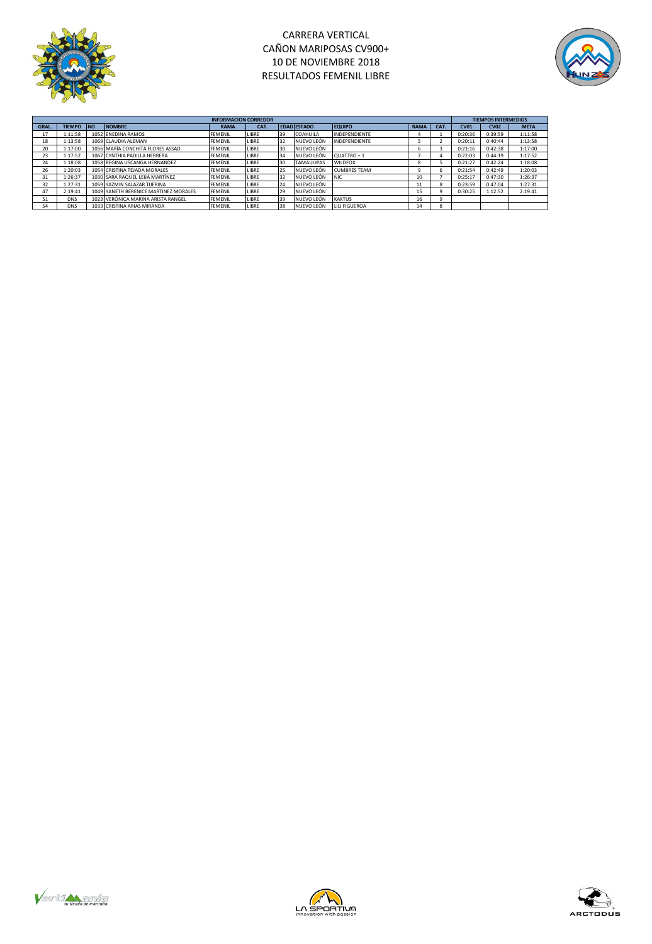

### CARRERA VERTICAL CAÑON MARIPOSAS CV900+ 10 DE NOVIEMBRE 2018 RESULTADOS FEMENIL LIBRE



|       |            |                                       | <b>INFORMACION CORREDOR</b> |       |    |                    |                        |             |      | <b>TIEMPOS INTERMEDIOS</b> |             |             |
|-------|------------|---------------------------------------|-----------------------------|-------|----|--------------------|------------------------|-------------|------|----------------------------|-------------|-------------|
| GRAL. | TIEMPO NO  | <b>NOMBRE</b>                         | <b>RAMA</b>                 | CAT.  |    | <b>EDAD ESTADO</b> | <b>EQUIPO</b>          | <b>RAMA</b> | CAT. | <b>CV01</b>                | <b>CV02</b> | <b>META</b> |
| 17    | 1:11:58    | 1052 ENEDINA RAMOS                    | <b>FEMENIL</b>              | LIBRE | 39 | COAHUILA           | <b>INDEPENDIENTE</b>   |             |      | 0:20:36                    | 0:39:59     | 1:11:58     |
| 18    | 1:13:58    | 1069 CLAUDIA ALEMAN                   | <b>FEMENIL</b>              | LIBRE | 32 | NUEVO LEÓN         | <b>INDEPENDIENTE</b>   |             |      | 0:20:11                    | 0:40:44     | 1:13:58     |
| 20    | 1:17:00    | 1056 MARÍA CONCHITA FLORES ASSAD      | <b>FEMENIL</b>              | LIBRE | 30 | NUEVO LEÓN         |                        |             |      | 0:21:16                    | 0:42:38     | 1:17:00     |
| 23    | 1:17:52    | 1067 CYNTHIA PADILLA HERRERA          | <b>FEMENIL</b>              | LIBRE | 34 | NUEVO LEÓN         | QUATTRO + 1            |             |      | 0:22:03                    | 0:44:19     | 1:17:52     |
| 24    | 1:18:08    | 1058 REGINA USCANGA HERNANDEZ         | FEMENIL                     | LIBRE | 30 | <b>TAMAULIPAS</b>  | WII DEOX               |             |      | 0:21:27                    | 0:42:24     | 1:18:08     |
| 26    | 1:20:03    | 1054 CRISTINA TEJADA MORALES          | <b>FEMENIL</b>              | LIBRE | 25 | NUEVO LEÓN         | <b>CUMBRES TEAM</b>    |             | h    | 0:21:54                    | 0:42:49     | 1:20:03     |
| 31    | 1:26:37    | 1030 SARA RAQUEL LEIJA MARTÍNEZ       | <b>FEMENIL</b>              | LIBRE | 32 | NUEVO LEÓN         | <b>NIC</b>             | 10          |      | 0:25:17                    | 0:47:30     | 1:26:37     |
| 32    | 1:27:31    | 1059 YAZMIN SALAZAR TIJERINA          | <b>FEMENIL</b>              | LIBRE | 24 | NUEVO LEÓN         |                        | 11          | я    | 0:23:59                    | 0:47:04     | 1:27:31     |
| 47    | 2:19:41    | 1049 YANETH BERENICE MARTINEZ MORALES | <b>FEMENIL</b>              | LIBRE | 29 | NUEVO LEÓN         |                        | 15          |      | 0:30:25                    | 1:12:52     | 2:19:41     |
| 51    | <b>DNS</b> | 1023 VERÓNICA MARINA ARISTA RANGEL    | <b>FEMENIL</b>              | LIBRE | 39 | NUEVO LEÓN         | <b>KAKTUS</b>          | 16          |      |                            |             |             |
| 54    | DNS        | 1033 CRISTINA ARIAS MIRANDA           | <b>FEMENIL</b>              | LIBRE | 38 | NUEVO LEÓN         | <b>I II I FIGUEROA</b> | 14          |      |                            |             |             |





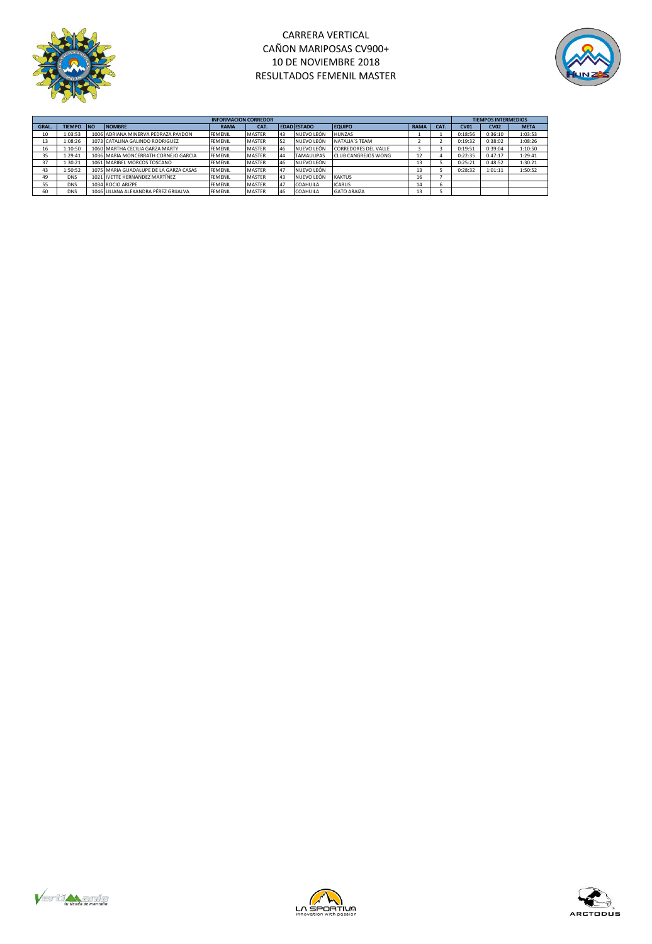

## CARRERA VERTICAL CAÑON MARIPOSAS CV900+ 10 DE NOVIEMBRE 2018 RESULTADOS FEMENIL MASTER



|       | <b>INFORMACION CORREDOR</b> |            |                                        |                |               |    |                    |                      |             |      |             | <b>TIEMPOS INTERMEDIOS</b> |             |  |
|-------|-----------------------------|------------|----------------------------------------|----------------|---------------|----|--------------------|----------------------|-------------|------|-------------|----------------------------|-------------|--|
| GRAL. | <b>TIEMPO</b>               | <b>INO</b> | <b>NOMBRE</b>                          | <b>RAMA</b>    | CAT.          |    | <b>EDAD ESTADO</b> | <b>EQUIPO</b>        | <b>RAMA</b> | CAT. | <b>CV01</b> | <b>CV02</b>                | <b>META</b> |  |
| 10    | 1:03:53                     |            | 1006 ADRIANA MINERVA PEDRAZA PAYDON    | <b>FEMENIL</b> | <b>MASTER</b> | 43 | NUEVO LEÓN         | <b>HUNZAS</b>        |             |      | 0:18:56     | 0:36:10                    | 1:03:53     |  |
| 13    | 1:08:26                     |            | 1073 CATALINA GALINDO RODRIGUEZ        | <b>FEMENIL</b> | <b>MASTER</b> | 52 | NUEVO LEÓN         | NATALIA'S TFAM       |             |      | 0:19:32     | 0:38:02                    | 1:08:26     |  |
| 16    | 1:10:50                     |            | 1060 MARTHA CECILIA GARZA MARTY        | <b>FEMENIL</b> | <b>MASTER</b> | 46 | NUEVO LEÓN         | CORREDORES DEL VALLE |             |      | 0:19:51     | 0:39:04                    | 1:10:50     |  |
| 35    | 1:29:41                     |            | 1036 MARIA MONCERRATH CORNEJO GARCIA   | <b>FEMENIL</b> | <b>MASTER</b> | 44 | <b>TAMAULIPAS</b>  | CLUB CANGREIOS WONG  | 12          |      | 0:22:35     | 0:47:17                    | 1:29:41     |  |
| 37    | 1:30:21                     |            | 1061 MARIBEL MORCOS TOSCANO            | <b>FEMENIL</b> | <b>MASTER</b> | 46 | NUEVO LEÓN         |                      | 13          |      | 0:25:21     | 0:48:52                    | 1:30:21     |  |
| 43    | 1:50:52                     |            | 1075 MARIA GUADALUPE DE LA GARZA CASAS | <b>FEMENIL</b> | <b>MASTER</b> | 47 | NUEVO LEÓN         |                      | 13          |      | 0:28:32     | 1:01:11                    | 1:50:52     |  |
| 49    | <b>DNS</b>                  |            | 1021 IVETTE HERNANDEZ MARTÍNEZ         | <b>FFMFNII</b> | <b>MASTER</b> | 43 | <b>NUEVO LEÓN</b>  | <b>KAKTUS</b>        | 16          |      |             |                            |             |  |
| 55    | <b>DNS</b>                  |            | 1034 ROCIO ARIZPE                      | <b>FEMENIL</b> | <b>MASTER</b> | 47 | <b>COAHUILA</b>    | <b>ICARUS</b>        | 14          |      |             |                            |             |  |
| 60    | <b>DNS</b>                  |            | 1046 LILIANA ALEXANDRA PÉREZ GRIJALVA  | <b>FFMFNII</b> | <b>MASTER</b> | 46 | COAHUILA           | <b>GATO ARAIZA</b>   | 13          |      |             |                            |             |  |





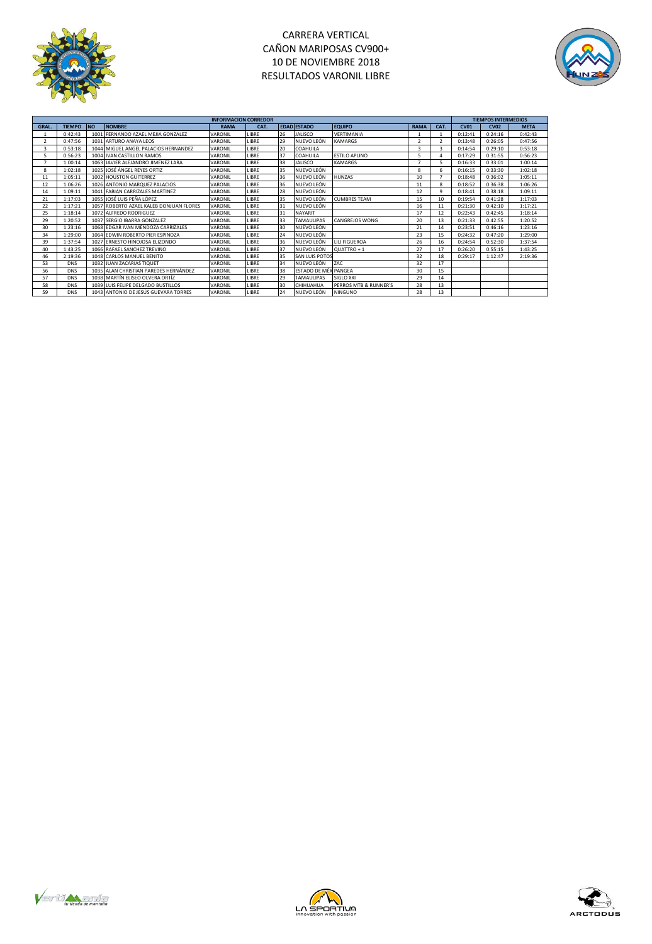

# CARRERA VERTICAL CAÑON MARIPOSAS CV900+ 10 DE NOVIEMBRE 2018 RESULTADOS VARONIL LIBRE



|                |               |           |                                          | <b>INFORMACION CORREDOR</b> |              |    |                      |                        |             |      |         | <b>TIEMPOS INTERMEDIOS</b> |             |  |  |
|----------------|---------------|-----------|------------------------------------------|-----------------------------|--------------|----|----------------------|------------------------|-------------|------|---------|----------------------------|-------------|--|--|
| <b>GRAL.</b>   | <b>TIEMPO</b> | <b>NO</b> | <b>NOMBRE</b>                            | <b>RAMA</b>                 | CAT.         |    | <b>EDAD ESTADO</b>   | <b>EQUIPO</b>          | <b>RAMA</b> | CAT. | CVO1    | C <sub>02</sub>            | <b>META</b> |  |  |
|                | 0:42:43       |           | 1001 FERNANDO AZAEL MEIIA GONZALEZ       | VARONIL                     | LIBRE        | 26 | <b>JALISCO</b>       | VERTIMANIA             |             |      | 0:12:41 | 0:24:16                    | 0:42:43     |  |  |
| $\overline{2}$ | 0:47:56       |           | 1031 ARTURO ANAYA LEOS                   | VARONIL                     | <b>IRRF</b>  | 29 | NUEVO LEÓN           | <b>KAMARGS</b>         |             |      | 0:13:48 | 0:26:05                    | 0:47:56     |  |  |
| 3              | 0:53:18       |           | 1044 MIGUEL ANGEL PALACIOS HERNANDEZ     | VARONIL                     | <b>LIBRE</b> | 20 | COAHUILA             |                        | 3           |      | 0:14:54 | 0:29:10                    | 0:53:18     |  |  |
|                | 0:56:23       |           | 1004 IVAN CASTILLON RAMOS                | VARONIL                     | <b>IRRF</b>  | 37 | COAHUILA             | <b>FSTILO APLINO</b>   |             |      | 0:17:29 | 0:31:55                    | 0:56:23     |  |  |
|                | 1:00:14       |           | 1063 HAVIER ALFIANDRO IIMENEZ LARA       | VARONIL                     | <b>LIBRE</b> | 38 | <b>JALISCO</b>       | <b>KAMARGS</b>         |             |      | 0:16:33 | 0:33:01                    | 1:00:14     |  |  |
| 8              | 1:02:18       |           | 1025 JOSÉ ÁNGEL REYES ORTIZ              | VARONIL                     | <b>LIBRE</b> | 35 | NUEVO LEÓN           |                        | 8           | 6    | 0:16:15 | 0:33:30                    | 1:02:18     |  |  |
| 11             | 1:05:11       |           | 1002 HOUSTON GUITERREZ                   | VARONIL                     | LIBRE        | 36 | NUEVO LEÓN           | <b>HUNZAS</b>          | 10          |      | 0:18:48 | 0:36:02                    | 1:05:11     |  |  |
| 12             | 1:06:26       |           | 1026 ANTONIO MARQUEZ PALACIOS            | VARONIL                     | LIBRE        | 36 | NUEVO LEÓN           |                        | 11          | R    | 0:18:52 | 0:36:38                    | 1:06:26     |  |  |
| 14             | 1:09:11       |           | 1041 FABIAN CARRIZALES MARTINEZ          | VARONIL                     | <b>LIBRE</b> | 28 | NUEVO LEÓN           |                        | 12          | 9    | 0:18:41 | 0:38:18                    | 1:09:11     |  |  |
| 21             | 1:17:03       |           | 1055 LOSÉ LUIS PEÑA LÓPEZ                | VARONIL                     | <b>IRRF</b>  | 35 | NUEVO LEÓN           | <b>CUMBRES TEAM</b>    | 15          | 10   | 0:19:54 | 0:41:28                    | 1:17:03     |  |  |
| 22             | 1:17:21       |           | 1057 ROBERTO AZAFI KALEB DONILIAN FLORES | VARONIL                     | <b>LIBRE</b> | 31 | NUEVO LEÓN           |                        | 16          | 11   | 0:21:30 | 0:42:10                    | 1:17:21     |  |  |
| 25             | 1:18:14       |           | 1072 ALFREDO RODRIGUEZ                   | VARONIL                     | <b>IRRF</b>  | 31 | NAYARIT              |                        | 17          | 12   | 0:22:43 | 0:42:45                    | 1:18:14     |  |  |
| 29             | 1:20:52       |           | 1037 SERGIO IBARRA GONZALEZ              | VARONIL                     | LIBRE        | 33 | <b>TAMAULIPAS</b>    | <b>CANGREJOS WONG</b>  | 20          | 13   | 0:21:33 | 0:42:55                    | 1:20:52     |  |  |
| 30             | 1:23:16       |           | 1068 FDGAR IVAN MENDOZA CARRIZALES       | VARONIL                     | LIBRE        | 30 | NUEVO LEÓN           |                        | 21          | 14   | 0:23:51 | 0:46:16                    | 1:23:16     |  |  |
| 34             | 1:29:00       |           | 1064 FDWIN ROBERTO PIER ESPINOZA         | VARONIL                     | <b>IBRF</b>  | 24 | NUEVO LEÓN           |                        | 23          | 15   | 0:24:32 | 0:47:20                    | 1:29:00     |  |  |
| 39             | 1:37:54       |           | 1027 FRNESTO HINOIOSA FLIZONDO           | VARONIL                     | <b>IBRF</b>  | 36 | NUEVO LEÓN           | <b>I II I FIGUEROA</b> | 26          | 16   | 0:24:54 | 0:52:30                    | 1:37:54     |  |  |
| 40             | 1:43:25       |           | 1066 RAFAEL SANCHEZ TREVIÑO              | VARONIL                     | <b>IRRF</b>  | 37 | NUEVO LEÓN           | QUATTRO + 1            | 27          | 17   | 0:26:20 | 0:55:15                    | 1:43:25     |  |  |
| 46             | 2:19:36       |           | 1048 CARLOS MANUEL BENITO                | VARONIL                     | LIBRE        | 35 | SAN LUIS POTOS       |                        | 32          | 18   | 0:29:17 | 1:12:47                    | 2:19:36     |  |  |
| 53             | <b>DNS</b>    |           | 1032 JUAN ZACARIAS TIQUET                | VARONIL                     | <b>IBRF</b>  | 34 | NUEVO LEÓN           | ZAC                    | 32          | 17   |         |                            |             |  |  |
| 56             | <b>DNS</b>    |           | 1035 ALAN CHRISTIAN PAREDES HERNÁNDEZ    | VARONIL                     | LIBRE        | 38 | ESTADO DE MÉX PANGEA |                        | 30          | 15   |         |                            |             |  |  |
| 57             | <b>DNS</b>    |           | 1038 MARTÍN ELISEO OLVERA ORTÍZ          | VARONIL                     | <b>IBRF</b>  | 29 | <b>TAMAULIPAS</b>    | SIGLO XXI              | 29          | 14   |         |                            |             |  |  |
| 58             | <b>DNS</b>    |           | 1039 LUIS EFLIPE DELGADO BUSTILLOS       | VARONIL                     | <b>IBRF</b>  | 30 | CHIHUAHUA            | PERROS MTB & RUNNER'S  | 28          | 13   |         |                            |             |  |  |
| 59             | <b>DNS</b>    |           | 1043 ANTONIO DE JESÚS GUEVARA TORRES     | VARONIL                     | <b>IBRE</b>  | 24 | NUEVO LEÓN           | <b>NINGUNO</b>         | 28          | 13   |         |                            |             |  |  |